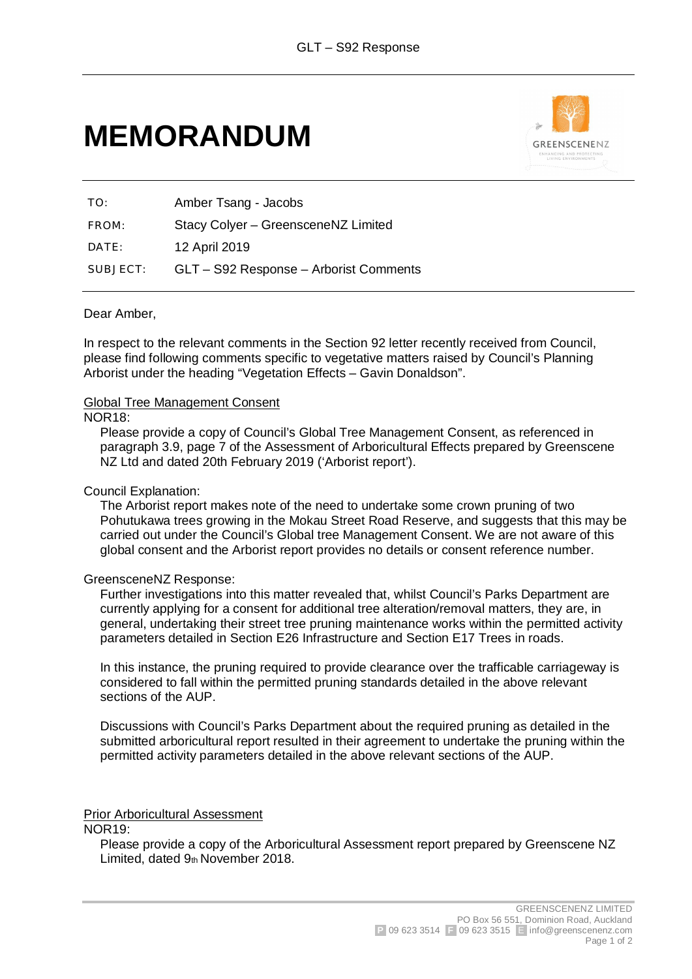# **MEMORANDUM**



TO: Amber Tsang - Jacobs FROM: Stacy Colyer – GreensceneNZ Limited DATE: 12 April 2019 SUBJECT: GLT – S92 Response – Arborist Comments

### Dear Amber,

In respect to the relevant comments in the Section 92 letter recently received from Council, please find following comments specific to vegetative matters raised by Council's Planning Arborist under the heading "Vegetation Effects – Gavin Donaldson".

#### Global Tree Management Consent

#### NOR18:

Please provide a copy of Council's Global Tree Management Consent, as referenced in paragraph 3.9, page 7 of the Assessment of Arboricultural Effects prepared by Greenscene NZ Ltd and dated 20th February 2019 ('Arborist report').

#### Council Explanation:

The Arborist report makes note of the need to undertake some crown pruning of two Pohutukawa trees growing in the Mokau Street Road Reserve, and suggests that this may be carried out under the Council's Global tree Management Consent. We are not aware of this global consent and the Arborist report provides no details or consent reference number.

#### GreensceneNZ Response:

Further investigations into this matter revealed that, whilst Council's Parks Department are currently applying for a consent for additional tree alteration/removal matters, they are, in general, undertaking their street tree pruning maintenance works within the permitted activity parameters detailed in Section E26 Infrastructure and Section E17 Trees in roads.

In this instance, the pruning required to provide clearance over the trafficable carriageway is considered to fall within the permitted pruning standards detailed in the above relevant sections of the AUP.

Discussions with Council's Parks Department about the required pruning as detailed in the submitted arboricultural report resulted in their agreement to undertake the pruning within the permitted activity parameters detailed in the above relevant sections of the AUP.

Prior Arboricultural Assessment

NOR19:

Please provide a copy of the Arboricultural Assessment report prepared by Greenscene NZ Limited, dated 9th November 2018.